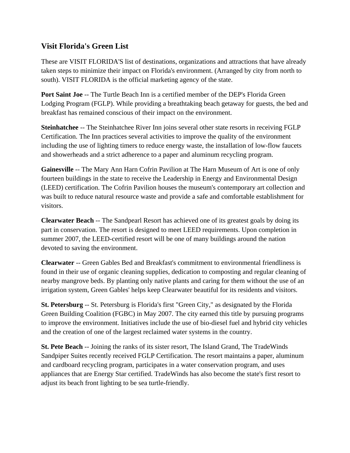## **Visit Florida's Green List**

These are VISIT FLORIDA'S list of destinations, organizations and attractions that have already taken steps to minimize their impact on Florida's environment. (Arranged by city from north to south). VISIT FLORIDA is the official marketing agency of the state.

**Port Saint Joe** -- The Turtle Beach Inn is a certified member of the DEP's Florida Green Lodging Program (FGLP). While providing a breathtaking beach getaway for guests, the bed and breakfast has remained conscious of their impact on the environment.

**Steinhatchee** -- The Steinhatchee River Inn joins several other state resorts in receiving FGLP Certification. The Inn practices several activities to improve the quality of the environment including the use of lighting timers to reduce energy waste, the installation of low-flow faucets and showerheads and a strict adherence to a paper and aluminum recycling program.

**Gainesville** -- The Mary Ann Harn Cofrin Pavilion at The Harn Museum of Art is one of only fourteen buildings in the state to receive the Leadership in Energy and Environmental Design (LEED) certification. The Cofrin Pavilion houses the museum's contemporary art collection and was built to reduce natural resource waste and provide a safe and comfortable establishment for visitors.

**Clearwater Beach** -- The Sandpearl Resort has achieved one of its greatest goals by doing its part in conservation. The resort is designed to meet LEED requirements. Upon completion in summer 2007, the LEED-certified resort will be one of many buildings around the nation devoted to saving the environment.

**Clearwater** -- Green Gables Bed and Breakfast's commitment to environmental friendliness is found in their use of organic cleaning supplies, dedication to composting and regular cleaning of nearby mangrove beds. By planting only native plants and caring for them without the use of an irrigation system, Green Gables' helps keep Clearwater beautiful for its residents and visitors.

**St. Petersburg** -- St. Petersburg is Florida's first "Green City," as designated by the Florida Green Building Coalition (FGBC) in May 2007. The city earned this title by pursuing programs to improve the environment. Initiatives include the use of bio-diesel fuel and hybrid city vehicles and the creation of one of the largest reclaimed water systems in the country.

**St. Pete Beach** -- Joining the ranks of its sister resort, The Island Grand, The TradeWinds Sandpiper Suites recently received FGLP Certification. The resort maintains a paper, aluminum and cardboard recycling program, participates in a water conservation program, and uses appliances that are Energy Star certified. TradeWinds has also become the state's first resort to adjust its beach front lighting to be sea turtle-friendly.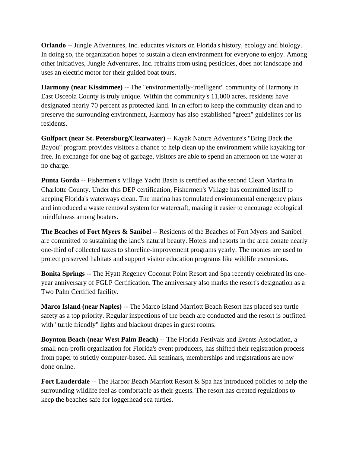**Orlando** -- Jungle Adventures, Inc. educates visitors on Florida's history, ecology and biology. In doing so, the organization hopes to sustain a clean environment for everyone to enjoy. Among other initiatives, Jungle Adventures, Inc. refrains from using pesticides, does not landscape and uses an electric motor for their guided boat tours.

**Harmony (near Kissimmee)** -- The "environmentally-intelligent" community of Harmony in East Osceola County is truly unique. Within the community's 11,000 acres, residents have designated nearly 70 percent as protected land. In an effort to keep the community clean and to preserve the surrounding environment, Harmony has also established "green" guidelines for its residents.

**Gulfport (near St. Petersburg/Clearwater)** -- Kayak Nature Adventure's "Bring Back the Bayou" program provides visitors a chance to help clean up the environment while kayaking for free. In exchange for one bag of garbage, visitors are able to spend an afternoon on the water at no charge.

**Punta Gorda** -- Fishermen's Village Yacht Basin is certified as the second Clean Marina in Charlotte County. Under this DEP certification, Fishermen's Village has committed itself to keeping Florida's waterways clean. The marina has formulated environmental emergency plans and introduced a waste removal system for watercraft, making it easier to encourage ecological mindfulness among boaters.

**The Beaches of Fort Myers & Sanibel** -- Residents of the Beaches of Fort Myers and Sanibel are committed to sustaining the land's natural beauty. Hotels and resorts in the area donate nearly one-third of collected taxes to shoreline-improvement programs yearly. The monies are used to protect preserved habitats and support visitor education programs like wildlife excursions.

**Bonita Springs** -- The Hyatt Regency Coconut Point Resort and Spa recently celebrated its oneyear anniversary of FGLP Certification. The anniversary also marks the resort's designation as a Two Palm Certified facility.

**Marco Island (near Naples)** -- The Marco Island Marriott Beach Resort has placed sea turtle safety as a top priority. Regular inspections of the beach are conducted and the resort is outfitted with "turtle friendly" lights and blackout drapes in guest rooms.

**Boynton Beach (near West Palm Beach)** -- The Florida Festivals and Events Association, a small non-profit organization for Florida's event producers, has shifted their registration process from paper to strictly computer-based. All seminars, memberships and registrations are now done online.

**Fort Lauderdale** -- The Harbor Beach Marriott Resort & Spa has introduced policies to help the surrounding wildlife feel as comfortable as their guests. The resort has created regulations to keep the beaches safe for loggerhead sea turtles.